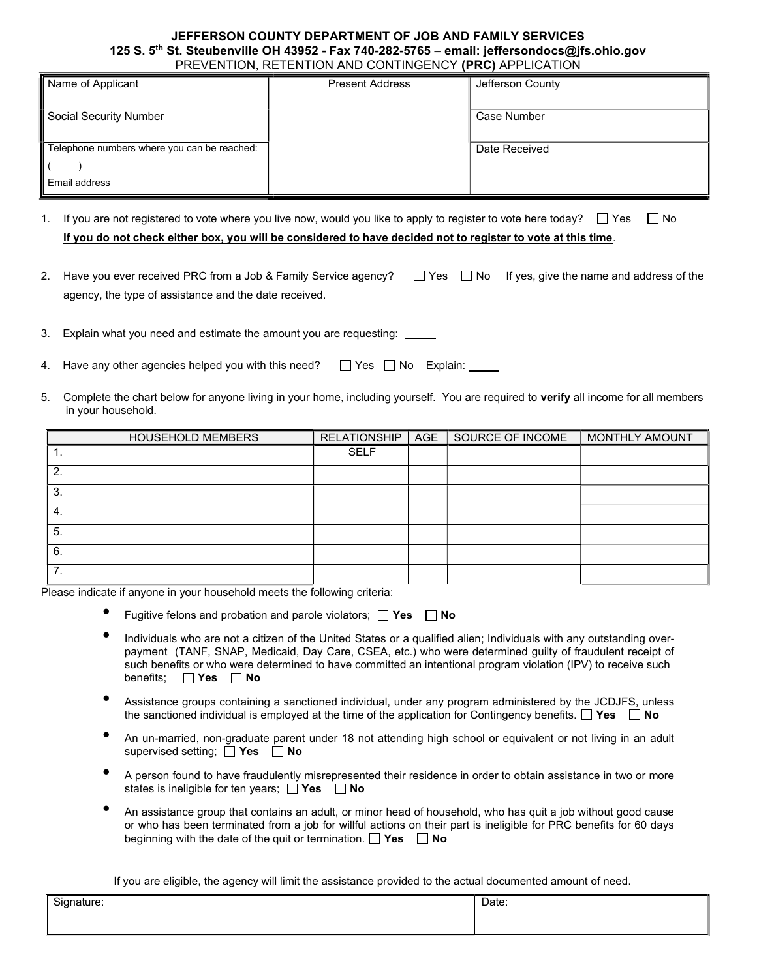## JEFFERSON COUNTY DEPARTMENT OF JOB AND FAMILY SERVICES 125 S. 5<sup>th</sup> St. Steubenville OH 43952 - Fax 740-282-5765 - email: jeffersondocs@jfs.ohio.gov PREVENTION, RETENTION AND CONTINGENCY (PRC) APPLICATION

| Name of Applicant                           | <b>Present Address</b> | Jefferson County |
|---------------------------------------------|------------------------|------------------|
| Social Security Number                      |                        | Case Number      |
|                                             |                        |                  |
| Telephone numbers where you can be reached: |                        | Date Received    |
| Email address                               |                        |                  |

- 1. If you are not registered to vote where you live now, would you like to apply to register to vote here today?  $\Box$  Yes  $\Box$  No If you do not check either box, you will be considered to have decided not to register to vote at this time.
- 2. Have you ever received PRC from a Job & Family Service agency?  $\Box$  Yes  $\Box$  No If yes, give the name and address of the agency, the type of assistance and the date received.

3. Explain what you need and estimate the amount you are requesting:

- 4. Have any other agencies helped you with this need?  $\Box$  Yes  $\Box$  No Explain:
- 5. Complete the chart below for anyone living in your home, including yourself. You are required to verify all income for all members in your household.

|    | <b>HOUSEHOLD MEMBERS</b> | RELATIONSHIP | AGE | SOURCE OF INCOME | MONTHLY AMOUNT |
|----|--------------------------|--------------|-----|------------------|----------------|
|    |                          | <b>SELF</b>  |     |                  |                |
| 2. |                          |              |     |                  |                |
| 3. |                          |              |     |                  |                |
| 4. |                          |              |     |                  |                |
| 5. |                          |              |     |                  |                |
| 6. |                          |              |     |                  |                |
| ⇁  |                          |              |     |                  |                |

Please indicate if anyone in your household meets the following criteria:

- Fugitive felons and probation and parole violators;  $\Box$  Yes  $\Box$  No
- Individuals who are not a citizen of the United States or a qualified alien; Individuals with any outstanding overpayment (TANF, SNAP, Medicaid, Day Care, CSEA, etc.) who were determined guilty of fraudulent receipt of such benefits or who were determined to have committed an intentional program violation (IPV) to receive such benefits;  $\Box$  Yes  $\Box$  No
- Assistance groups containing a sanctioned individual, under any program administered by the JCDJFS, unless the sanctioned individual is employed at the time of the application for Contingency benefits.  $\Box$  Yes  $\Box$  No
- An un-married, non-graduate parent under 18 not attending high school or equivalent or not living in an adult supervised setting;  $\Box$  Yes  $\Box$  No
- A person found to have fraudulently misrepresented their residence in order to obtain assistance in two or more states is ineligible for ten years;  $\Box$  Yes  $\Box$  No
- An assistance group that contains an adult, or minor head of household, who has quit a job without good cause or who has been terminated from a job for willful actions on their part is ineligible for PRC benefits for 60 days beginning with the date of the quit or termination.  $\Box$  Yes  $\Box$  No

If you are eligible, the agency will limit the assistance provided to the actual documented amount of need.

| Signature: | Date: |
|------------|-------|
|            |       |